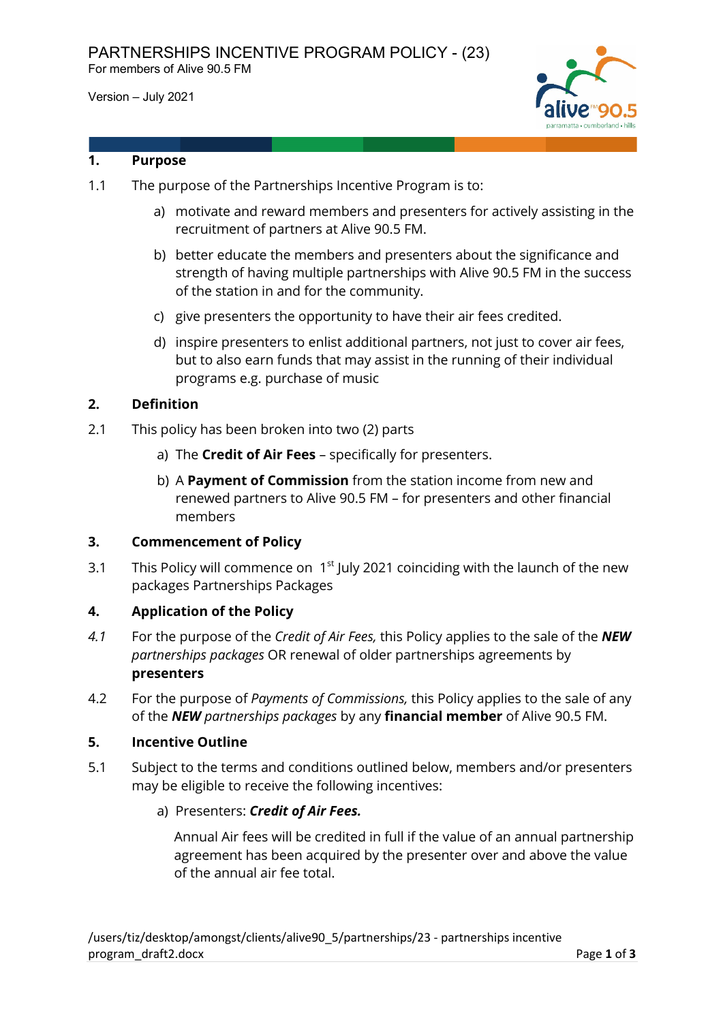Version – July 2021



## **1. Purpose**

- 1.1 The purpose of the Partnerships Incentive Program is to:
	- a) motivate and reward members and presenters for actively assisting in the recruitment of partners at Alive 90.5 FM.
	- b) better educate the members and presenters about the significance and strength of having multiple partnerships with Alive 90.5 FM in the success of the station in and for the community.
	- c) give presenters the opportunity to have their air fees credited.
	- d) inspire presenters to enlist additional partners, not just to cover air fees, but to also earn funds that may assist in the running of their individual programs e.g. purchase of music

## **2. Definition**

- 2.1 This policy has been broken into two (2) parts
	- a) The **Credit of Air Fees** specifically for presenters.
	- b) A **Payment of Commission** from the station income from new and renewed partners to Alive 90.5 FM – for presenters and other financial members

## **3. Commencement of Policy**

3.1 This Policy will commence on  $1<sup>st</sup>$  July 2021 coinciding with the launch of the new packages Partnerships Packages

## **4. Application of the Policy**

- *4.1* For the purpose of the *Credit of Air Fees,* this Policy applies to the sale of the *NEW partnerships packages* OR renewal of older partnerships agreements by **presenters**
- 4.2 For the purpose of *Payments of Commissions,* this Policy applies to the sale of any of the *NEW partnerships packages* by any **financial member** of Alive 90.5 FM.

## **5. Incentive Outline**

5.1 Subject to the terms and conditions outlined below, members and/or presenters may be eligible to receive the following incentives:

## a) Presenters: *Credit of Air Fees.*

Annual Air fees will be credited in full if the value of an annual partnership agreement has been acquired by the presenter over and above the value of the annual air fee total.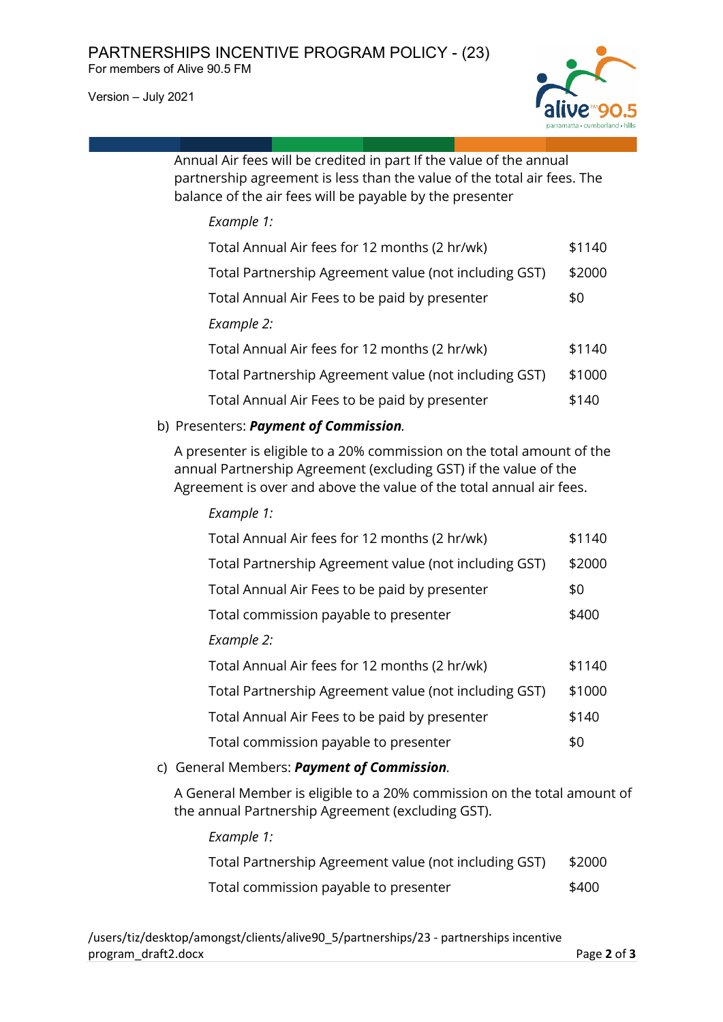Version – July 2021



Annual Air fees will be credited in part If the value of the annual partnership agreement is less than the value of the total air fees. The balance of the air fees will be payable by the presenter

#### *Example 1:*

| Total Annual Air fees for 12 months (2 hr/wk)         | \$1140 |
|-------------------------------------------------------|--------|
| Total Partnership Agreement value (not including GST) | \$2000 |
| Total Annual Air Fees to be paid by presenter         | \$0    |
| Example 2:                                            |        |
| Total Annual Air fees for 12 months (2 hr/wk)         | \$1140 |
| Total Partnership Agreement value (not including GST) | \$1000 |
| Total Annual Air Fees to be paid by presenter         | \$140  |

## b) Presenters: *Payment of Commission.*

A presenter is eligible to a 20% commission on the total amount of the annual Partnership Agreement (excluding GST) if the value of the Agreement is over and above the value of the total annual air fees.

| Example 1:                                            |        |
|-------------------------------------------------------|--------|
| Total Annual Air fees for 12 months (2 hr/wk)         | \$1140 |
| Total Partnership Agreement value (not including GST) | \$2000 |
| Total Annual Air Fees to be paid by presenter         | \$0    |
| Total commission payable to presenter                 | \$400  |
| Example 2:                                            |        |
| Total Annual Air fees for 12 months (2 hr/wk)         | \$1140 |
| Total Partnership Agreement value (not including GST) | \$1000 |
| Total Annual Air Fees to be paid by presenter         | \$140  |
| Total commission payable to presenter                 | \$0    |

c) General Members: *Payment of Commission.*

A General Member is eligible to a 20% commission on the total amount of the annual Partnership Agreement (excluding GST).

*Example 1:*

| Total Partnership Agreement value (not including GST) | \$2000 |
|-------------------------------------------------------|--------|
| Total commission payable to presenter                 | \$400  |